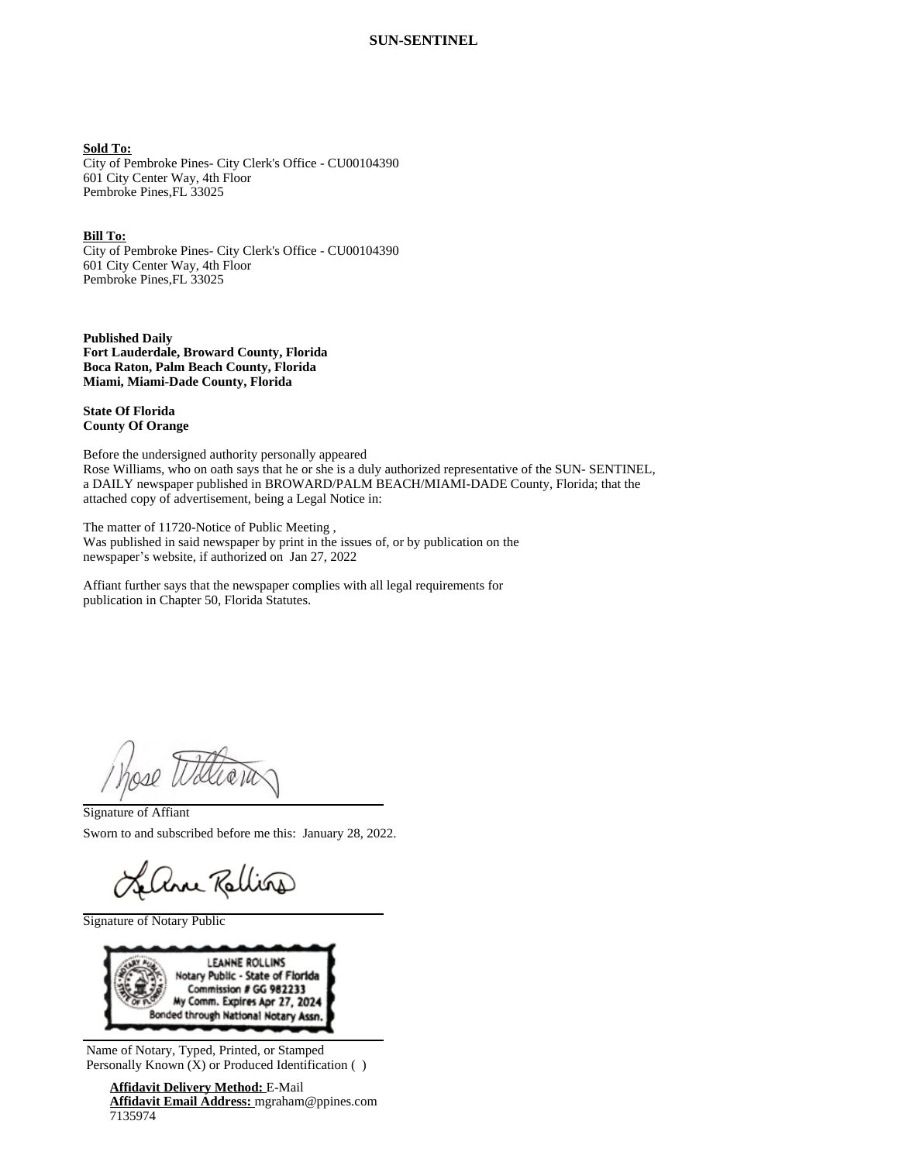## **SUN-SENTINEL**

**Sold To:**

City of Pembroke Pines- City Clerk's Office - CU00104390 601 City Center Way, 4th Floor Pembroke Pines,FL 33025

**Bill To:**

City of Pembroke Pines- City Clerk's Office - CU00104390 601 City Center Way, 4th Floor Pembroke Pines,FL 33025

**Published Daily Fort Lauderdale, Broward County, Florida Boca Raton, Palm Beach County, Florida Miami, Miami-Dade County, Florida**

**State Of Florida County Of Orange**

Before the undersigned authority personally appeared Rose Williams, who on oath says that he or she is a duly authorized representative of the SUN- SENTINEL, a DAILY newspaper published in BROWARD/PALM BEACH/MIAMI-DADE County, Florida; that the attached copy of advertisement, being a Legal Notice in:

The matter of 11720-Notice of Public Meeting , Was published in said newspaper by print in the issues of, or by publication on the newspaper's website, if authorized on Jan 27, 2022

Affiant further says that the newspaper complies with all legal requirements for publication in Chapter 50, Florida Statutes.

Signature of Affiant Sworn to and subscribed before me this: January 28, 2022.

ane Rollino

Signature of Notary Public



Name of Notary, Typed, Printed, or Stamped Personally Known (X) or Produced Identification ( )

**Affidavit Delivery Method:** E-Mail **Affidavit Email Address:** mgraham@ppines.com 7135974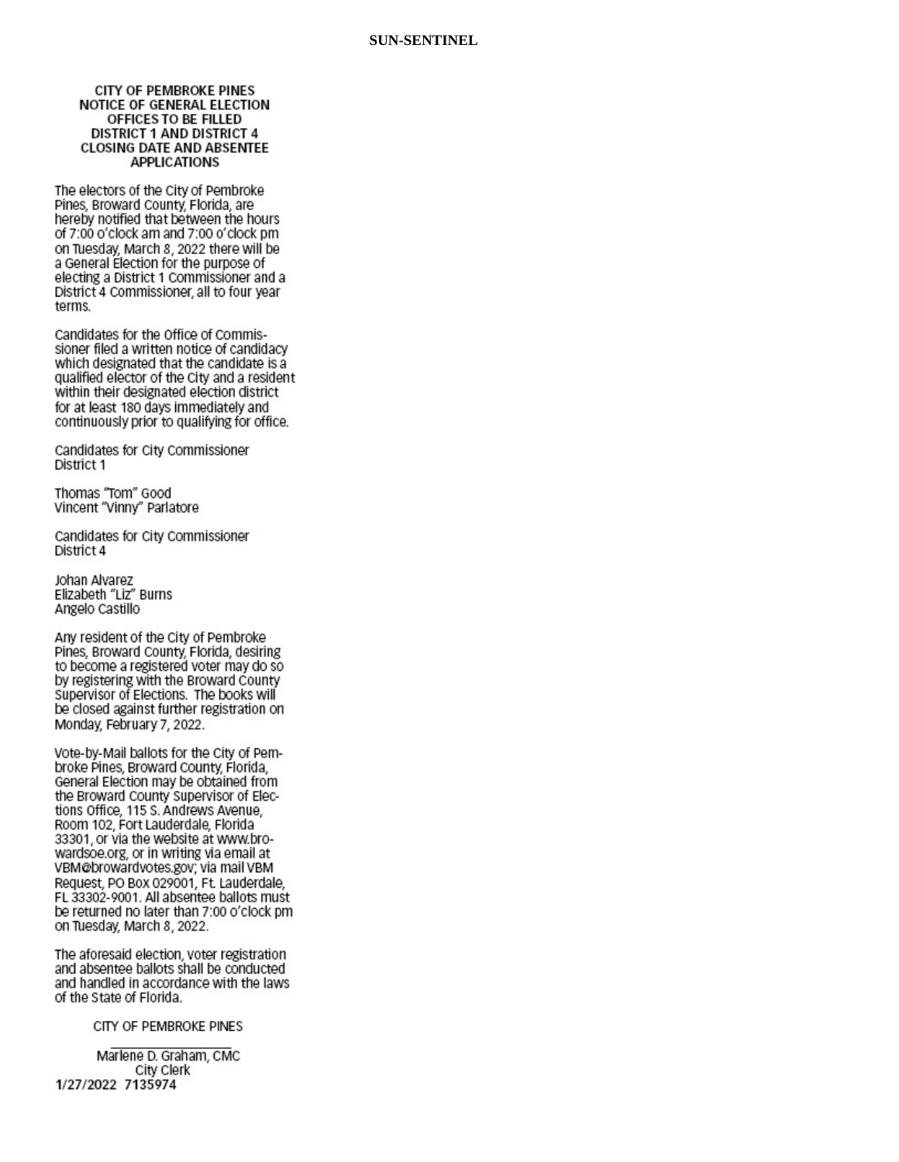## **CITY OF PEMBROKE PINES** NOTICE OF GENERAL ELECTION OFFICES TO BE FILLED **DISTRICT 1 AND DISTRICT 4 CLOSING DATE AND ABSENTEE APPLICATIONS**

The electors of the City of Pembroke Pines, Broward County, Florida, are hereby notified that between the hours of 7:00 o'clock am and 7:00 o'clock pm on Tuesday, March 8, 2022 there will be a General Election for the purpose of electing a District 1 Commissioner and a District 4 Commissioner, all to four year terms.

Candidates for the Office of Commissioner filed a written notice of candidacy which designated that the candidate is a qualified elector of the City and a resident within their designated election district for at least 180 days immediately and continuously prior to qualifying for office.

Candidates for City Commissioner District 1

Thomas "Tom" Good Vincent "Vinny" Parlatore

Candidates for City Commissioner District 4

Johan Alvarez Elizabeth "Liz" Burns Angelo Castillo

Any resident of the City of Pembroke Pines, Broward County, Florida, desiring to become a registered voter may do so by registering with the Broward County Supervisor of Elections. The books will be closed against further registration on Monday, February 7, 2022.

Vote-by-Mail ballots for the City of Pembroke Pines, Broward County, Florida, General Election may be obtained from the Broward County Supervisor of Elections Office, 115 S. Andrews Avenue, Room 102, Fort Lauderdale, Florida 33301, or via the website at www.browardsoe.org, or in writing via email at VBM@browardvotes.gov; via mail VBM<br>Request, PO Box 029001, Ft. Lauderdale, FL 33302-9001. All absentee ballots must be returned no later than 7:00 o'clock pm on Tuesday, March 8, 2022.

The aforesaid election, voter registration and absentee ballots shall be conducted and handled in accordance with the laws of the State of Florida.

CITY OF PEMBROKE PINES

Marlene D. Graham, CMC City Clerk 1/27/2022 7135974